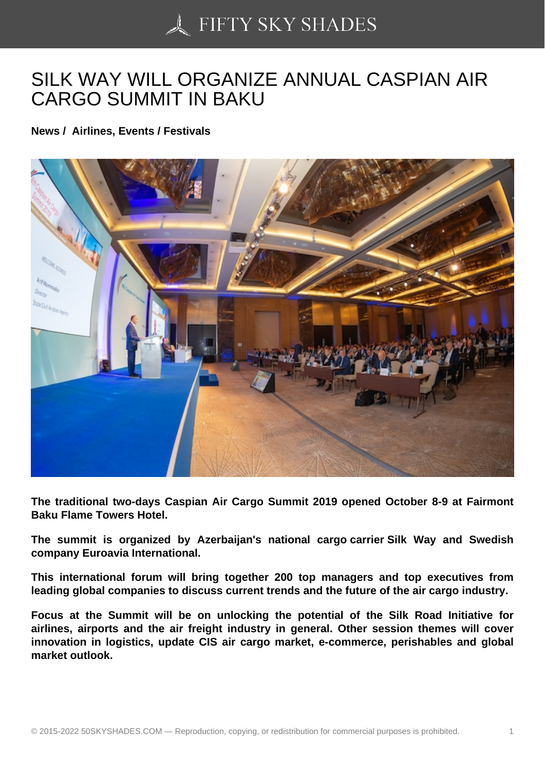## [SILK WAY WILL ORGA](https://50skyshades.com)NIZE ANNUAL CASPIAN AIR CARGO SUMMIT IN BAKU

News / Airlines, Events / Festivals

The traditional two-days Caspian Air Cargo Summit 2019 opened October 8-9 at Fairmont Baku Flame Towers Hotel.

The summit is organized by Azerbaijan's national cargo carrier Silk Way and Swedish company Euroavia International.

This international forum will bring together 200 top managers and top executives from leading global companies to discuss current trends and the future of the air cargo industry.

Focus at the Summit will be on unlocking the potential of the Silk Road Initiative for airlines, airports and the air freight industry in general. Other session themes will cover innovation in logistics, update CIS air cargo market, e-commerce, perishables and global market outlook.